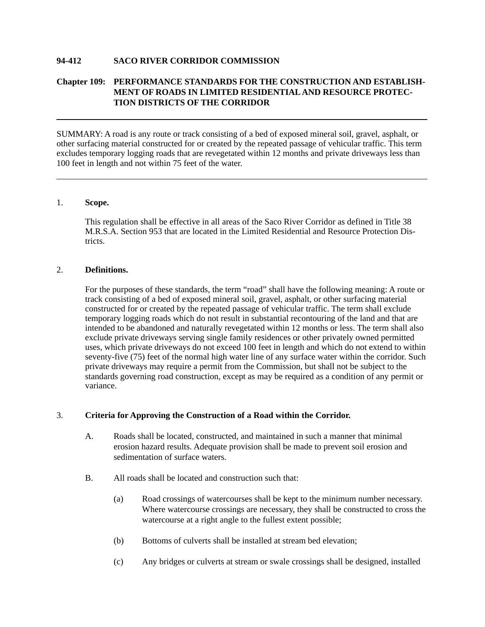### **94-412 SACO RIVER CORRIDOR COMMISSION**

# **Chapter 109: PERFORMANCE STANDARDS FOR THE CONSTRUCTION AND ESTABLISH-MENT OF ROADS IN LIMITED RESIDENTIAL AND RESOURCE PROTEC-TION DISTRICTS OF THE CORRIDOR**

SUMMARY: A road is any route or track consisting of a bed of exposed mineral soil, gravel, asphalt, or other surfacing material constructed for or created by the repeated passage of vehicular traffic. This term excludes temporary logging roads that are revegetated within 12 months and private driveways less than 100 feet in length and not within 75 feet of the water.

### 1. **Scope.**

This regulation shall be effective in all areas of the Saco River Corridor as defined in Title 38 M.R.S.A. Section 953 that are located in the Limited Residential and Resource Protection Districts.

#### 2. **Definitions.**

For the purposes of these standards, the term "road" shall have the following meaning: A route or track consisting of a bed of exposed mineral soil, gravel, asphalt, or other surfacing material constructed for or created by the repeated passage of vehicular traffic. The term shall exclude temporary logging roads which do not result in substantial recontouring of the land and that are intended to be abandoned and naturally revegetated within 12 months or less. The term shall also exclude private driveways serving single family residences or other privately owned permitted uses, which private driveways do not exceed 100 feet in length and which do not extend to within seventy-five (75) feet of the normal high water line of any surface water within the corridor. Such private driveways may require a permit from the Commission, but shall not be subject to the standards governing road construction, except as may be required as a condition of any permit or variance.

### 3. **Criteria for Approving the Construction of a Road within the Corridor.**

- A. Roads shall be located, constructed, and maintained in such a manner that minimal erosion hazard results. Adequate provision shall be made to prevent soil erosion and sedimentation of surface waters.
- B. All roads shall be located and construction such that:
	- (a) Road crossings of watercourses shall be kept to the minimum number necessary. Where watercourse crossings are necessary, they shall be constructed to cross the watercourse at a right angle to the fullest extent possible;
	- (b) Bottoms of culverts shall be installed at stream bed elevation;
	- (c) Any bridges or culverts at stream or swale crossings shall be designed, installed